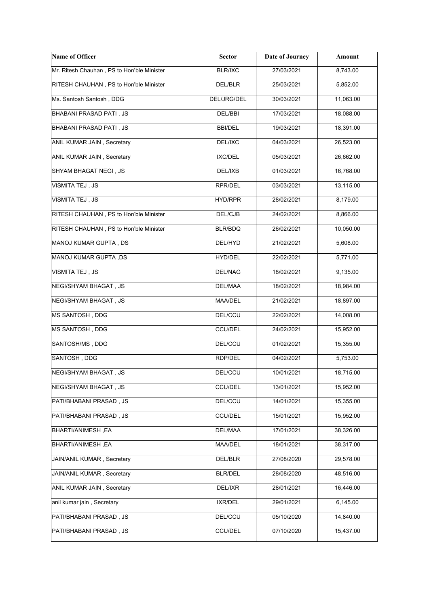| Name of Officer                            | <b>Sector</b>  | <b>Date of Journey</b> | Amount    |
|--------------------------------------------|----------------|------------------------|-----------|
| Mr. Ritesh Chauhan, PS to Hon'ble Minister | <b>BLR/IXC</b> | 27/03/2021             | 8,743.00  |
| RITESH CHAUHAN, PS to Hon'ble Minister     | DEL/BLR        | 25/03/2021             | 5,852.00  |
| Ms. Santosh Santosh, DDG                   | DEL/JRG/DEL    | 30/03/2021             | 11,063.00 |
| BHABANI PRASAD PATI, JS                    | DEL/BBI        | 17/03/2021             | 18,088.00 |
| BHABANI PRASAD PATI, JS                    | <b>BBI/DEL</b> | 19/03/2021             | 18,391.00 |
| ANIL KUMAR JAIN, Secretary                 | DEL/IXC        | 04/03/2021             | 26,523.00 |
| ANIL KUMAR JAIN, Secretary                 | IXC/DEL        | 05/03/2021             | 26,662.00 |
| SHYAM BHAGAT NEGI, JS                      | DEL/IXB        | 01/03/2021             | 16,768.00 |
| VISMITA TEJ, JS                            | RPR/DEL        | 03/03/2021             | 13,115.00 |
| <b>VISMITA TEJ, JS</b>                     | HYD/RPR        | 28/02/2021             | 8,179.00  |
| RITESH CHAUHAN, PS to Hon'ble Minister     | DEL/CJB        | 24/02/2021             | 8,866.00  |
| RITESH CHAUHAN, PS to Hon'ble Minister     | BLR/BDQ        | 26/02/2021             | 10,050.00 |
| MANOJ KUMAR GUPTA, DS                      | DEL/HYD        | 21/02/2021             | 5,608.00  |
| MANOJ KUMAR GUPTA, DS                      | HYD/DEL        | 22/02/2021             | 5,771.00  |
| VISMITA TEJ, JS                            | DEL/NAG        | 18/02/2021             | 9,135.00  |
| NEGI/SHYAM BHAGAT, JS                      | DEL/MAA        | 18/02/2021             | 18,984.00 |
| <b>NEGI/SHYAM BHAGAT, JS</b>               | MAA/DEL        | 21/02/2021             | 18,897.00 |
| MS SANTOSH, DDG                            | DEL/CCU        | 22/02/2021             | 14,008.00 |
| MS SANTOSH, DDG                            | <b>CCU/DEL</b> | 24/02/2021             | 15,952.00 |
| SANTOSH/MS, DDG                            | DEL/CCU        | 01/02/2021             | 15,355.00 |
| SANTOSH, DDG                               | RDP/DEL        | 04/02/2021             | 5,753.00  |
| <b>NEGI/SHYAM BHAGAT, JS</b>               | DEL/CCU        | 10/01/2021             | 18,715.00 |
| NEGI/SHYAM BHAGAT, JS                      | <b>CCU/DEL</b> | 13/01/2021             | 15,952.00 |
| PATI/BHABANI PRASAD, JS                    | DEL/CCU        | 14/01/2021             | 15,355.00 |
| PATI/BHABANI PRASAD, JS                    | <b>CCU/DEL</b> | 15/01/2021             | 15,952.00 |
| BHARTI/ANIMESH, EA                         | DEL/MAA        | 17/01/2021             | 38,326.00 |
| BHARTI/ANIMESH, EA                         | MAA/DEL        | 18/01/2021             | 38,317.00 |
| JAIN/ANIL KUMAR, Secretary                 | DEL/BLR        | 27/08/2020             | 29,578.00 |
| JAIN/ANIL KUMAR, Secretary                 | <b>BLR/DEL</b> | 28/08/2020             | 48,516.00 |
| ANIL KUMAR JAIN, Secretary                 | DEL/IXR        | 28/01/2021             | 16,446.00 |
| anil kumar jain, Secretary                 | IXR/DEL        | 29/01/2021             | 6,145.00  |
| PATI/BHABANI PRASAD, JS                    | DEL/CCU        | 05/10/2020             | 14,840.00 |
| PATI/BHABANI PRASAD, JS                    | <b>CCU/DEL</b> | 07/10/2020             | 15,437.00 |